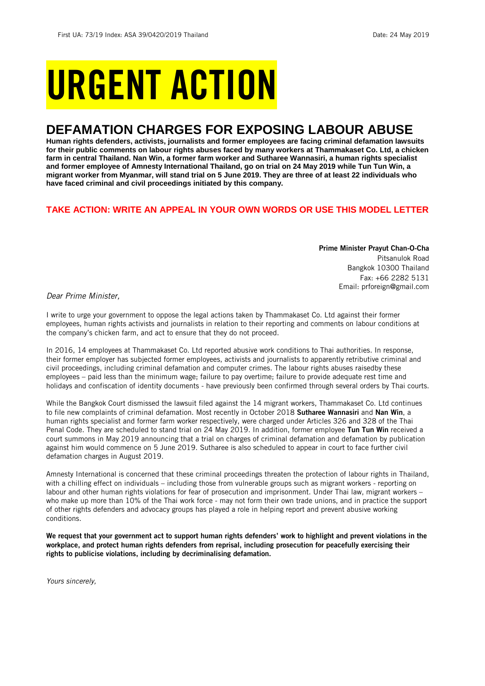# URGENT ACTION

## **DEFAMATION CHARGES FOR EXPOSING LABOUR ABUSE**

**Human rights defenders, activists, journalists and former employees are facing criminal defamation lawsuits for their public comments on labour rights abuses faced by many workers at Thammakaset Co. Ltd, a chicken farm in central Thailand. Nan Win, a former farm worker and Sutharee Wannasiri, a human rights specialist and former employee of Amnesty International Thailand, go on trial on 24 May 2019 while Tun Tun Win, a migrant worker from Myanmar, will stand trial on 5 June 2019. They are three of at least 22 individuals who have faced criminal and civil proceedings initiated by this company.**

## **TAKE ACTION: WRITE AN APPEAL IN YOUR OWN WORDS OR USE THIS MODEL LETTER**

Prime Minister Prayut Chan-O-Cha Pitsanulok Road Bangkok 10300 Thailand Fax: +66 2282 5131 Email: prforeign@gmail.com

*Dear Prime Minister,*

I write to urge your government to oppose the legal actions taken by Thammakaset Co. Ltd against their former employees, human rights activists and journalists in relation to their reporting and comments on labour conditions at the company's chicken farm, and act to ensure that they do not proceed.

In 2016, 14 employees at Thammakaset Co. Ltd reported abusive work conditions to Thai authorities. In response, their former employer has subjected former employees, activists and journalists to apparently retributive criminal and civil proceedings, including criminal defamation and computer crimes. The labour rights abuses raisedby these employees – paid less than the minimum wage; failure to pay overtime; failure to provide adequate rest time and holidays and confiscation of identity documents - have previously been confirmed through several orders by Thai courts.

While the Bangkok Court dismissed the lawsuit filed against the 14 migrant workers, Thammakaset Co. Ltd continues to file new complaints of criminal defamation. Most recently in October 2018 Sutharee Wannasiri and Nan Win, a human rights specialist and former farm worker respectively, were charged under Articles 326 and 328 of the Thai Penal Code. They are scheduled to stand trial on 24 May 2019. In addition, former employee Tun Tun Win received a court summons in May 2019 announcing that a trial on charges of criminal defamation and defamation by publication against him would commence on 5 June 2019. Sutharee is also scheduled to appear in court to face further civil defamation charges in August 2019.

Amnesty International is concerned that these criminal proceedings threaten the protection of labour rights in Thailand, with a chilling effect on individuals – including those from vulnerable groups such as migrant workers - reporting on labour and other human rights violations for fear of prosecution and imprisonment. Under Thai law, migrant workers – who make up more than 10% of the Thai work force - may not form their own trade unions, and in practice the support of other rights defenders and advocacy groups has played a role in helping report and prevent abusive working conditions.

We request that your government act to support human rights defenders' work to highlight and prevent violations in the workplace, and protect human rights defenders from reprisal, including prosecution for peacefully exercising their rights to publicise violations, including by decriminalising defamation.

*Yours sincerely,*